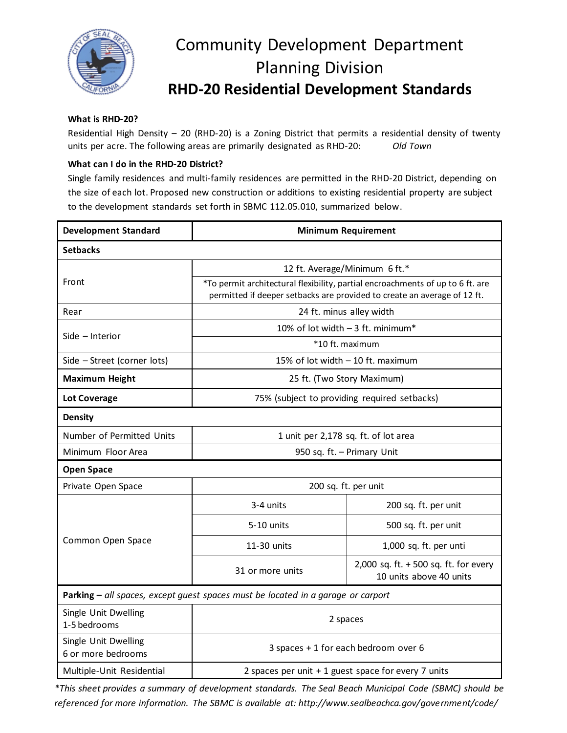

## Community Development Department Planning Division **RHD-20 Residential Development Standards**

## **What is RHD-20?**

Residential High Density – 20 (RHD-20) is a Zoning District that permits a residential density of twenty units per acre. The following areas are primarily designated as RHD-20: *Old Town*

## **What can I do in the RHD-20 District?**

Single family residences and multi-family residences are permitted in the RHD-20 District, depending on the size of each lot. Proposed new construction or additions to existing residential property are subject to the development standards set forth in SBMC 112.05.010, summarized below.

| <b>Development Standard</b>                | <b>Minimum Requirement</b>                                                                                                                                 |                                                                   |
|--------------------------------------------|------------------------------------------------------------------------------------------------------------------------------------------------------------|-------------------------------------------------------------------|
| <b>Setbacks</b>                            |                                                                                                                                                            |                                                                   |
|                                            | 12 ft. Average/Minimum 6 ft.*                                                                                                                              |                                                                   |
| Front                                      | *To permit architectural flexibility, partial encroachments of up to 6 ft. are<br>permitted if deeper setbacks are provided to create an average of 12 ft. |                                                                   |
| Rear                                       | 24 ft. minus alley width                                                                                                                                   |                                                                   |
| Side - Interior                            | 10% of lot width - 3 ft. minimum*                                                                                                                          |                                                                   |
|                                            | *10 ft. maximum                                                                                                                                            |                                                                   |
| Side - Street (corner lots)                | 15% of lot width - 10 ft. maximum                                                                                                                          |                                                                   |
| <b>Maximum Height</b>                      | 25 ft. (Two Story Maximum)                                                                                                                                 |                                                                   |
| <b>Lot Coverage</b>                        | 75% (subject to providing required setbacks)                                                                                                               |                                                                   |
| <b>Density</b>                             |                                                                                                                                                            |                                                                   |
| Number of Permitted Units                  | 1 unit per 2,178 sq. ft. of lot area                                                                                                                       |                                                                   |
| Minimum Floor Area                         | 950 sq. ft. - Primary Unit                                                                                                                                 |                                                                   |
| <b>Open Space</b>                          |                                                                                                                                                            |                                                                   |
| Private Open Space                         | 200 sq. ft. per unit                                                                                                                                       |                                                                   |
| Common Open Space                          | 3-4 units                                                                                                                                                  | 200 sq. ft. per unit                                              |
|                                            | 5-10 units                                                                                                                                                 | 500 sq. ft. per unit                                              |
|                                            | 11-30 units                                                                                                                                                | 1,000 sq. ft. per unti                                            |
|                                            | 31 or more units                                                                                                                                           | 2,000 sq. ft. $+500$ sq. ft. for every<br>10 units above 40 units |
|                                            | Parking - all spaces, except guest spaces must be located in a garage or carport                                                                           |                                                                   |
| Single Unit Dwelling<br>1-5 bedrooms       | 2 spaces                                                                                                                                                   |                                                                   |
| Single Unit Dwelling<br>6 or more bedrooms | 3 spaces + 1 for each bedroom over 6                                                                                                                       |                                                                   |
| Multiple-Unit Residential                  | 2 spaces per unit + 1 guest space for every 7 units                                                                                                        |                                                                   |

*\*This sheet provides a summary of development standards. The Seal Beach Municipal Code (SBMC) should be referenced for more information. The SBMC is available at: http://www.sealbeachca.gov/government/code/*